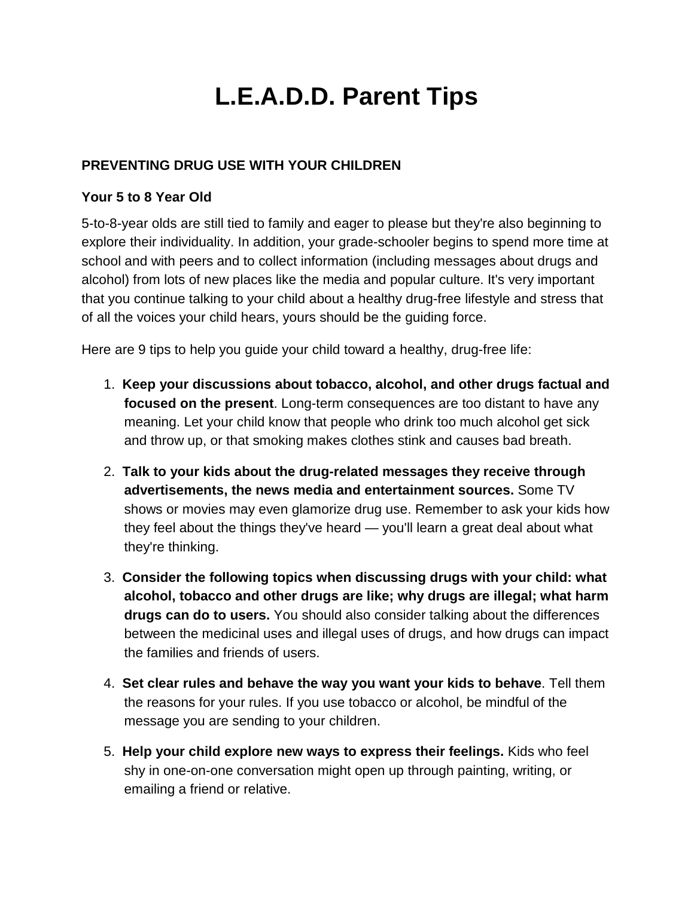# **L.E.A.D.D. Parent Tips**

## **PREVENTING DRUG USE WITH YOUR CHILDREN**

#### **Your 5 to 8 Year Old**

5-to-8-year olds are still tied to family and eager to please but they're also beginning to explore their individuality. In addition, your grade-schooler begins to spend more time at school and with peers and to collect information (including messages about drugs and alcohol) from lots of new places like the media and popular culture. It's very important that you continue talking to your child about a healthy drug-free lifestyle and stress that of all the voices your child hears, yours should be the guiding force.

Here are 9 tips to help you guide your child toward a healthy, drug-free life:

- 1. **Keep your discussions about tobacco, alcohol, and other drugs factual and focused on the present**. Long-term consequences are too distant to have any meaning. Let your child know that people who drink too much alcohol get sick and throw up, or that smoking makes clothes stink and causes bad breath.
- 2. **Talk to your kids about the drug-related messages they receive through advertisements, the news media and entertainment sources.** Some TV shows or movies may even glamorize drug use. Remember to ask your kids how they feel about the things they've heard — you'll learn a great deal about what they're thinking.
- 3. **Consider the following topics when discussing drugs with your child: what alcohol, tobacco and other drugs are like; why drugs are illegal; what harm drugs can do to users.** You should also consider talking about the differences between the medicinal uses and illegal uses of drugs, and how drugs can impact the families and friends of users.
- 4. **Set clear rules and behave the way you want your kids to behave**. Tell them the reasons for your rules. If you use tobacco or alcohol, be mindful of the message you are sending to your children.
- 5. **Help your child explore new ways to express their feelings.** Kids who feel shy in one-on-one conversation might open up through painting, writing, or emailing a friend or relative.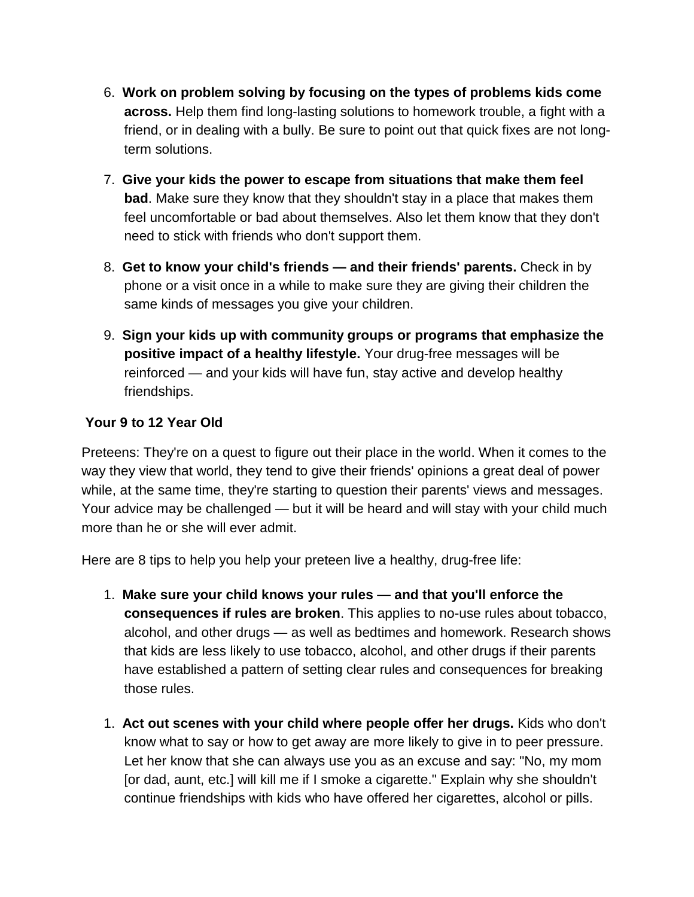- 6. **Work on problem solving by focusing on the types of problems kids come across.** Help them find long-lasting solutions to homework trouble, a fight with a friend, or in dealing with a bully. Be sure to point out that quick fixes are not longterm solutions.
- 7. **Give your kids the power to escape from situations that make them feel bad**. Make sure they know that they shouldn't stay in a place that makes them feel uncomfortable or bad about themselves. Also let them know that they don't need to stick with friends who don't support them.
- 8. **Get to know your child's friends — and their friends' parents.** Check in by phone or a visit once in a while to make sure they are giving their children the same kinds of messages you give your children.
- 9. **Sign your kids up with community groups or programs that emphasize the positive impact of a healthy lifestyle.** Your drug-free messages will be reinforced — and your kids will have fun, stay active and develop healthy friendships.

# **Your 9 to 12 Year Old**

Preteens: They're on a quest to figure out their place in the world. When it comes to the way they view that world, they tend to give their friends' opinions a great deal of power while, at the same time, they're starting to question their parents' views and messages. Your advice may be challenged — but it will be heard and will stay with your child much more than he or she will ever admit.

Here are 8 tips to help you help your preteen live a healthy, drug-free life:

- 1. **Make sure your child knows your rules — and that you'll enforce the consequences if rules are broken**. This applies to no-use rules about tobacco, alcohol, and other drugs — as well as bedtimes and homework. Research shows that kids are less likely to use tobacco, alcohol, and other drugs if their parents have established a pattern of setting clear rules and consequences for breaking those rules.
- 1. **Act out scenes with your child where people offer her drugs.** Kids who don't know what to say or how to get away are more likely to give in to peer pressure. Let her know that she can always use you as an excuse and say: "No, my mom [or dad, aunt, etc.] will kill me if I smoke a cigarette." Explain why she shouldn't continue friendships with kids who have offered her cigarettes, alcohol or pills.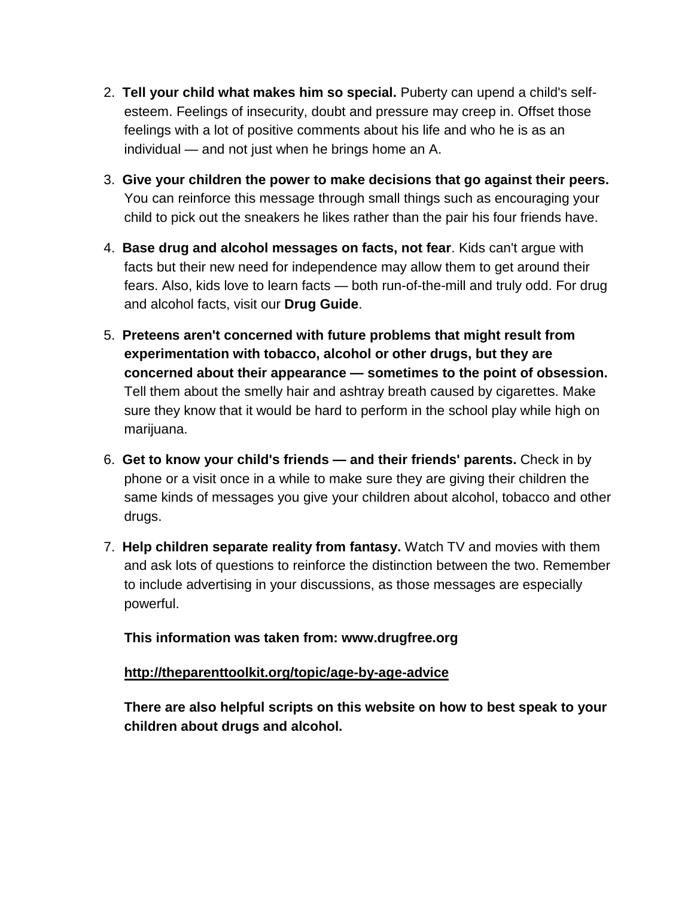- 2. **Tell your child what makes him so special.** Puberty can upend a child's selfesteem. Feelings of insecurity, doubt and pressure may creep in. Offset those feelings with a lot of positive comments about his life and who he is as an individual — and not just when he brings home an A.
- 3. **Give your children the power to make decisions that go against their peers.** You can reinforce this message through small things such as encouraging your child to pick out the sneakers he likes rather than the pair his four friends have.
- 4. **Base drug and alcohol messages on facts, not fear**. Kids can't argue with facts but their new need for independence may allow them to get around their fears. Also, kids love to learn facts — both run-of-the-mill and truly odd. For drug and alcohol facts, visit our **[Drug Guide](http://www.drugfree.org/drug-guide)**.
- 5. **Preteens aren't concerned with future problems that might result from experimentation with tobacco, alcohol or other drugs, but they are concerned about their appearance — sometimes to the point of obsession.** Tell them about the smelly hair and ashtray breath caused by cigarettes. Make sure they know that it would be hard to perform in the school play while high on marijuana.
- 6. **Get to know your child's friends — and their friends' parents.** Check in by phone or a visit once in a while to make sure they are giving their children the same kinds of messages you give your children about alcohol, tobacco and other drugs.
- 7. **Help children separate reality from fantasy.** Watch TV and movies with them and ask lots of questions to reinforce the distinction between the two. Remember to include advertising in your discussions, as those messages are especially powerful.

#### **This information was taken from: www.drugfree.org**

#### **<http://theparenttoolkit.org/topic/age-by-age-advice>**

**There are also helpful scripts on this website on how to best speak to your children about drugs and alcohol.**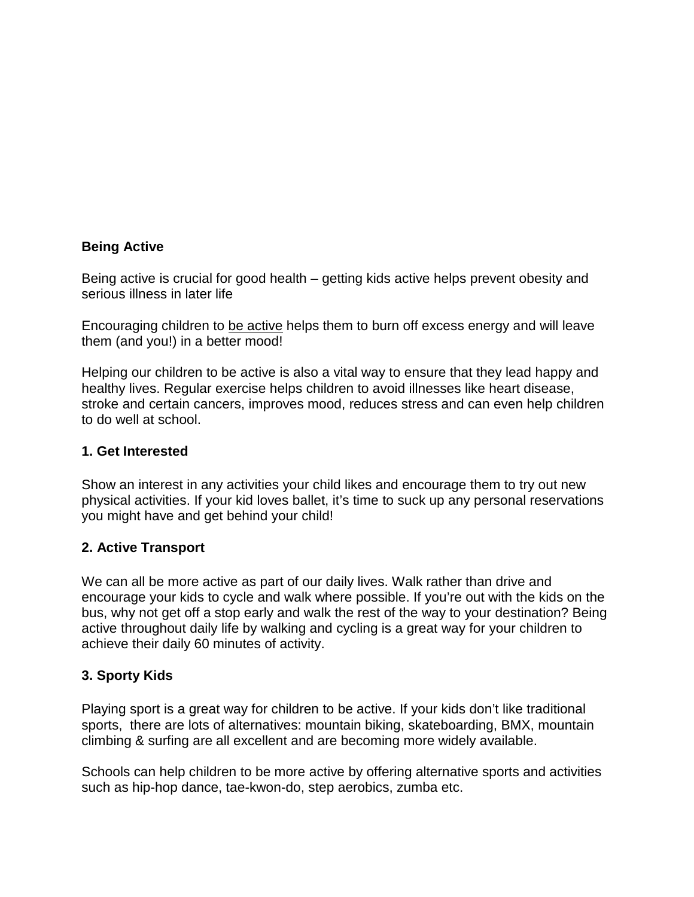#### **Being Active**

Being active is crucial for good health – getting kids active helps prevent obesity and serious illness in later life

Encouraging children to [be active](http://turntrim.com/getting-active) helps them to burn off excess energy and will leave them (and you!) in a better mood!

Helping our children to be active is also a vital way to ensure that they lead happy and healthy lives. Regular exercise helps children to avoid illnesses like heart disease, stroke and certain cancers, improves mood, reduces stress and can even help children to do well at school.

#### **1. Get Interested**

Show an interest in any activities your child likes and encourage them to try out new physical activities. If your kid loves ballet, it's time to suck up any personal reservations you might have and get behind your child!

#### **2. Active Transport**

We can all be more active as part of our daily lives. Walk rather than drive and encourage your kids to cycle and walk where possible. If you're out with the kids on the bus, why not get off a stop early and walk the rest of the way to your destination? Being active throughout daily life by walking and cycling is a great way for your children to achieve their daily 60 minutes of activity.

#### **3. Sporty Kids**

Playing sport is a great way for children to be active. If your kids don't like traditional sports, there are lots of alternatives: mountain biking, skateboarding, BMX, mountain climbing & surfing are all excellent and are becoming more widely available.

Schools can help children to be more active by offering alternative sports and activities such as hip-hop dance, tae-kwon-do, step aerobics, zumba etc.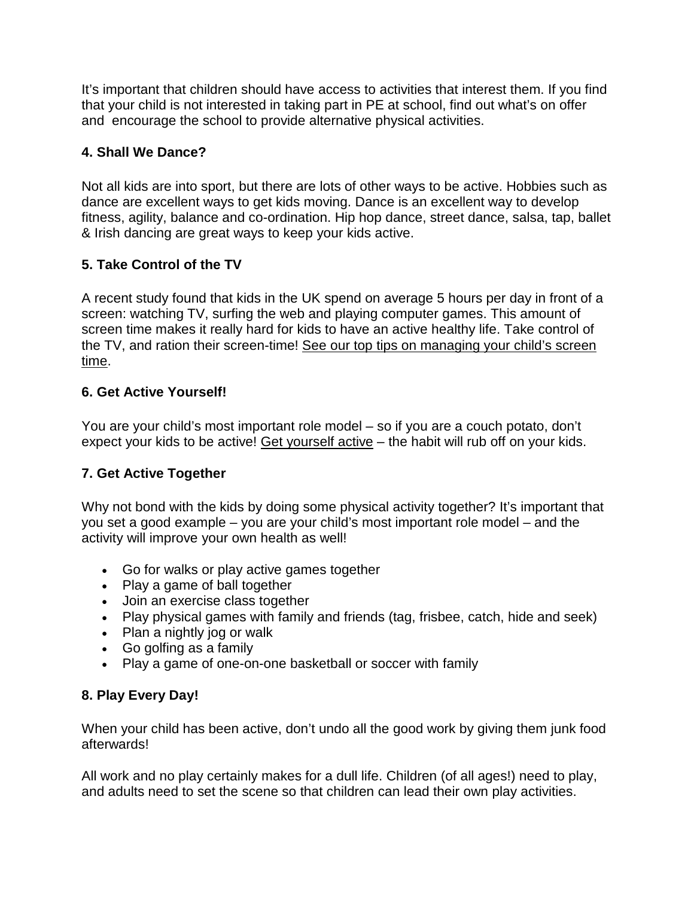It's important that children should have access to activities that interest them. If you find that your child is not interested in taking part in PE at school, find out what's on offer and encourage the school to provide alternative physical activities.

# **4. Shall We Dance?**

Not all kids are into sport, but there are lots of other ways to be active. Hobbies such as dance are excellent ways to get kids moving. Dance is an excellent way to develop fitness, agility, balance and co-ordination. Hip hop dance, street dance, salsa, tap, ballet & Irish dancing are great ways to keep your kids active.

# **5. Take Control of the TV**

A recent study found that kids in the UK spend on average 5 hours per day in front of a screen: watching TV, surfing the web and playing computer games. This amount of screen time makes it really hard for kids to have an active healthy life. Take control of the TV, and ration their screen-time! [See our top tips on managing your child's screen](http://parentsforhealth.org/tv-tips)  [time.](http://parentsforhealth.org/tv-tips)

# **6. Get Active Yourself!**

You are your child's most important role model – so if you are a couch potato, don't expect your kids to be active! [Get yourself active](http://turntrim.com/getting-active) – the habit will rub off on your kids.

# **7. Get Active Together**

Why not bond with the kids by doing some physical activity together? It's important that you set a good example – you are your child's most important role model – and the activity will improve your own health as well!

- Go for walks or play active games together
- Play a game of ball together
- Join an exercise class together
- Play physical games with family and friends (tag, frisbee, catch, hide and seek)
- Plan a nightly jog or walk
- Go golfing as a family
- Play a game of one-on-one basketball or soccer with family

# **8. Play Every Day!**

When your child has been active, don't undo all the good work by giving them junk food afterwards!

All work and no play certainly makes for a dull life. Children (of all ages!) need to play, and adults need to set the scene so that children can lead their own play activities.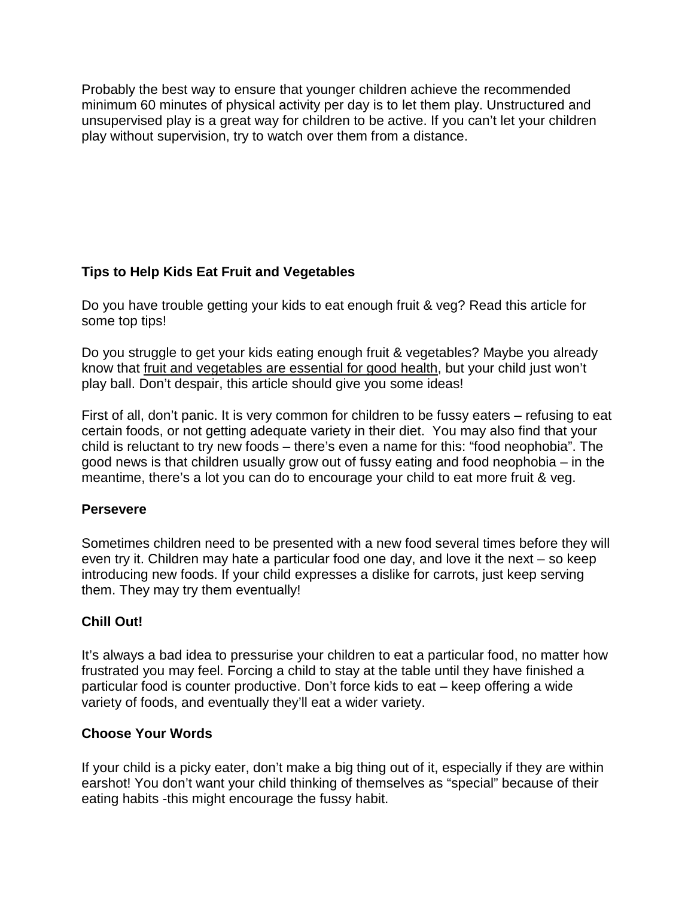Probably the best way to ensure that younger children achieve the recommended minimum 60 minutes of physical activity per day is to let them play. Unstructured and unsupervised play is a great way for children to be active. If you can't let your children play without supervision, try to watch over them from a distance.

# **Tips to Help Kids Eat Fruit and Vegetables**

Do you have trouble getting your kids to eat enough fruit & veg? Read this article for some top tips!

Do you struggle to get your kids eating enough fruit & vegetables? Maybe you already know that [fruit and vegetables are essential for good health,](http://turntrim.com/vegetables-fruit-and-salad-for-healthy-weight-loss) but your child just won't play ball. Don't despair, this article should give you some ideas!

First of all, don't panic. It is very common for children to be fussy eaters – refusing to eat certain foods, or not getting adequate variety in their diet. You may also find that your child is reluctant to try new foods – there's even a name for this: "food neophobia". The good news is that children usually grow out of fussy eating and food neophobia – in the meantime, there's a lot you can do to encourage your child to eat more fruit & veg.

## **Persevere**

Sometimes children need to be presented with a new food several times before they will even try it. Children may hate a particular food one day, and love it the next – so keep introducing new foods. If your child expresses a dislike for carrots, just keep serving them. They may try them eventually!

## **Chill Out!**

It's always a bad idea to pressurise your children to eat a particular food, no matter how frustrated you may feel. Forcing a child to stay at the table until they have finished a particular food is counter productive. Don't force kids to eat – keep offering a wide variety of foods, and eventually they'll eat a wider variety.

## **Choose Your Words**

If your child is a picky eater, don't make a big thing out of it, especially if they are within earshot! You don't want your child thinking of themselves as "special" because of their eating habits -this might encourage the fussy habit.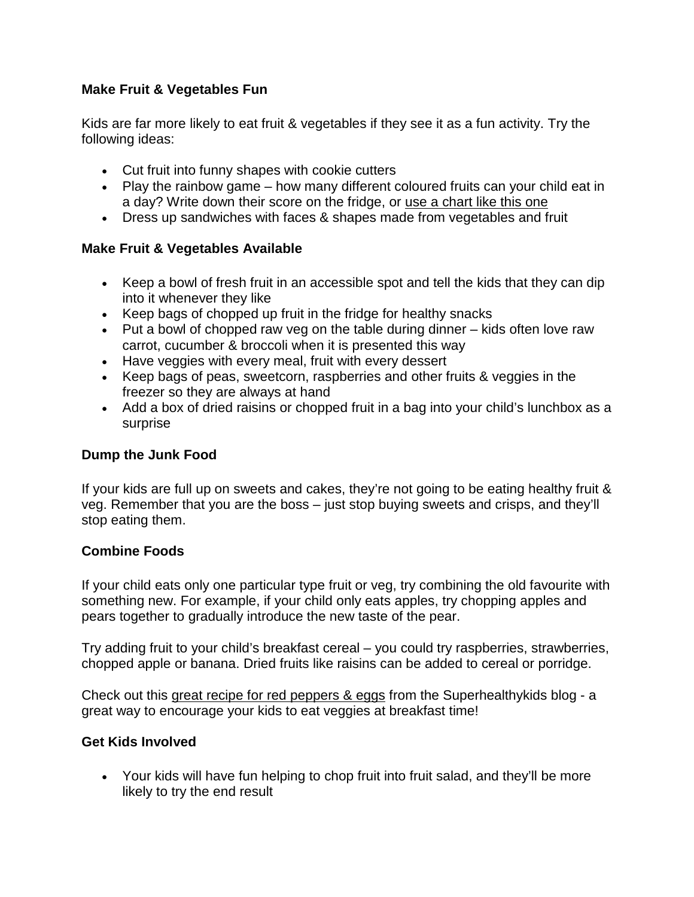## **Make Fruit & Vegetables Fun**

Kids are far more likely to eat fruit & vegetables if they see it as a fun activity. Try the following ideas:

- Cut fruit into funny shapes with cookie cutters
- Play the rainbow game how many different coloured fruits can your child eat in a day? Write down their score on the fridge, or use a chart [like this one](http://www.todayiatearainbow.com/today-i-ate-a-rainbow/)
- Dress up sandwiches with faces & shapes made from vegetables and fruit

## **Make Fruit & Vegetables Available**

- Keep a bowl of fresh fruit in an accessible spot and tell the kids that they can dip into it whenever they like
- Keep bags of chopped up fruit in the fridge for healthy snacks
- Put a bowl of chopped raw veg on the table during dinner kids often love raw carrot, cucumber & broccoli when it is presented this way
- Have veggies with every meal, fruit with every dessert
- Keep bags of peas, sweetcorn, raspberries and other fruits & veggies in the freezer so they are always at hand
- Add a box of dried raisins or chopped fruit in a bag into your child's lunchbox as a surprise

### **Dump the Junk Food**

If your kids are full up on sweets and cakes, they're not going to be eating healthy fruit & veg. Remember that you are the boss – just stop buying sweets and crisps, and they'll stop eating them.

#### **Combine Foods**

If your child eats only one particular type fruit or veg, try combining the old favourite with something new. For example, if your child only eats apples, try chopping apples and pears together to gradually introduce the new taste of the pear.

Try adding fruit to your child's breakfast cereal – you could try raspberries, strawberries, chopped apple or banana. Dried fruits like raisins can be added to cereal or porridge.

Check out this [great recipe for red peppers & eggs](http://blog.superhealthykids.com/2011/09/egg-in-a-red-bell-pepper-flower/) from the Superhealthykids blog - a great way to encourage your kids to eat veggies at breakfast time!

#### **Get Kids Involved**

• Your kids will have fun helping to chop fruit into fruit salad, and they'll be more likely to try the end result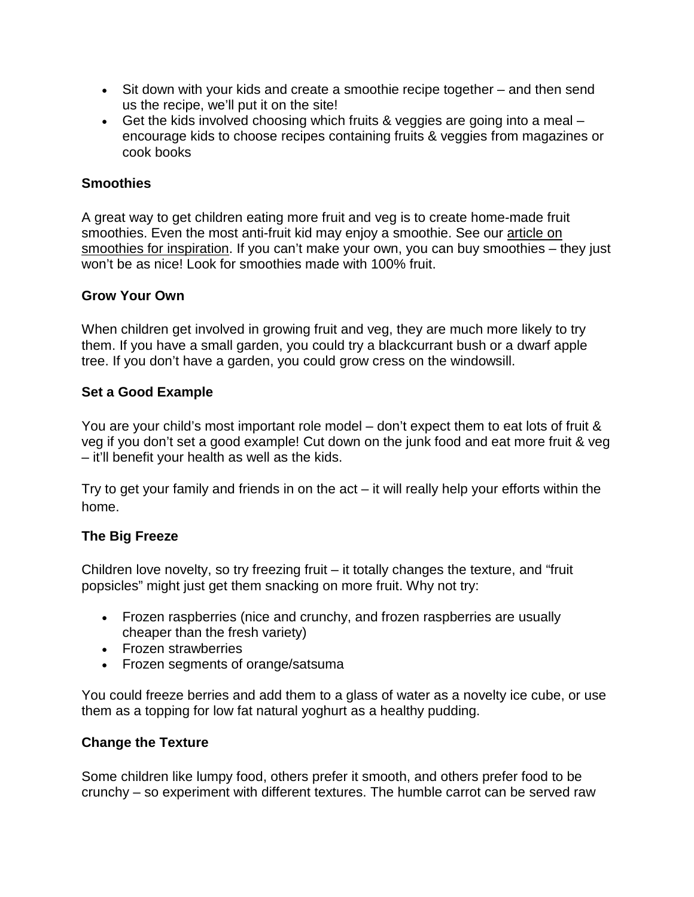- Sit down with your kids and create a smoothie recipe together and then send us the recipe, we'll put it on the site!
- Get the kids involved choosing which fruits & veggies are going into a meal encourage kids to choose recipes containing fruits & veggies from magazines or cook books

### **Smoothies**

A great way to get children eating more fruit and veg is to create home-made fruit smoothies. Even the most anti-fruit kid may enjoy a smoothie. See our [article on](http://parentsforhealth.org/opinion-smoothie-your-way-to-your-5-a-day)  [smoothies for inspiration.](http://parentsforhealth.org/opinion-smoothie-your-way-to-your-5-a-day) If you can't make your own, you can buy smoothies – they just won't be as nice! Look for smoothies made with 100% fruit.

#### **Grow Your Own**

When children get involved in growing fruit and veg, they are much more likely to try them. If you have a small garden, you could try a blackcurrant bush or a dwarf apple tree. If you don't have a garden, you could grow cress on the windowsill.

#### **Set a Good Example**

You are your child's most important role model – don't expect them to eat lots of fruit & veg if you don't set a good example! Cut down on the junk food and eat more fruit & veg – it'll benefit your health as well as the kids.

Try to get your family and friends in on the act – it will really help your efforts within the home.

## **The Big Freeze**

Children love novelty, so try freezing fruit – it totally changes the texture, and "fruit popsicles" might just get them snacking on more fruit. Why not try:

- Frozen raspberries (nice and crunchy, and frozen raspberries are usually cheaper than the fresh variety)
- Frozen strawberries
- Frozen segments of orange/satsuma

You could freeze berries and add them to a glass of water as a novelty ice cube, or use them as a topping for low fat natural yoghurt as a healthy pudding.

#### **Change the Texture**

Some children like lumpy food, others prefer it smooth, and others prefer food to be crunchy – so experiment with different textures. The humble carrot can be served raw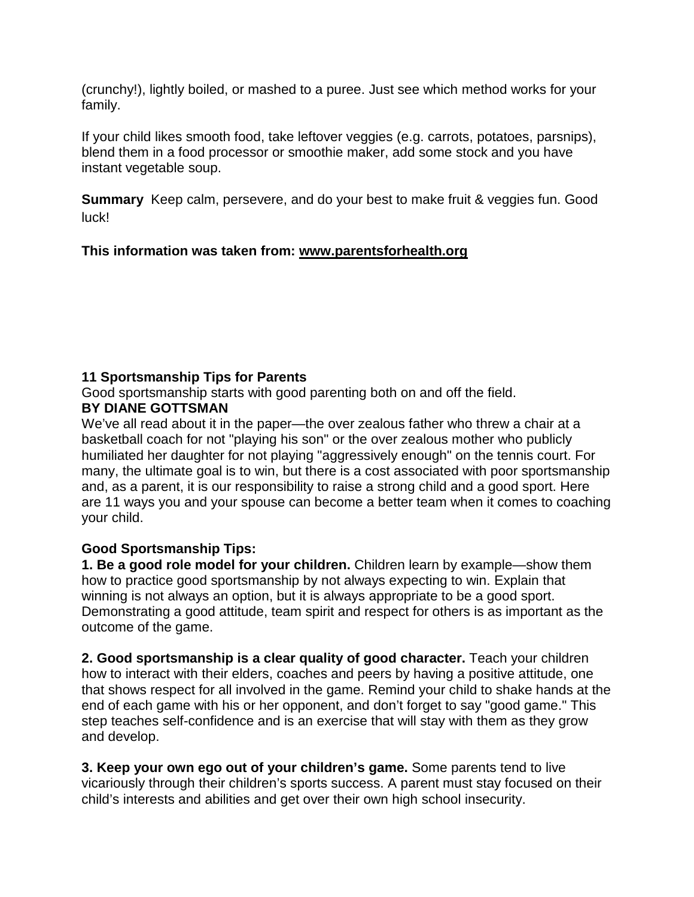(crunchy!), lightly boiled, or mashed to a puree. Just see which method works for your family.

If your child likes smooth food, take leftover veggies (e.g. carrots, potatoes, parsnips), blend them in a food processor or smoothie maker, add some stock and you have instant vegetable soup.

**Summary** Keep calm, persevere, and do your best to make fruit & veggies fun. Good luck!

## **This information was taken from: [www.parentsforhealth.org](http://www.parentsforhealth.org/)**

# **11 Sportsmanship Tips for Parents**

Good sportsmanship starts with good parenting both on and off the field.

## **BY DIANE GOTTSMAN**

We've all read about it in the paper—the over zealous father who threw a chair at a basketball coach for not "playing his son" or the over zealous mother who publicly humiliated her daughter for not playing "aggressively enough" on the tennis court. For many, the ultimate goal is to win, but there is a cost associated with poor sportsmanship and, as a parent, it is our responsibility to raise a strong child and a good sport. Here are 11 ways you and your spouse can become a better team when it comes to coaching your child.

## **Good Sportsmanship Tips:**

**1. Be a good role model for your children.** Children learn by example—show them how to practice good sportsmanship by not always expecting to win. Explain that winning is not always an option, but it is always appropriate to be a good sport. Demonstrating a good attitude, team spirit and respect for others is as important as the outcome of the game.

**2. Good sportsmanship is a clear quality of good character.** Teach your children how to interact with their elders, coaches and peers by having a positive attitude, one that shows respect for all involved in the game. Remind your child to shake hands at the end of each game with his or her opponent, and don't forget to say "good game." This step teaches self-confidence and is an exercise that will stay with them as they grow and develop.

**3. Keep your own ego out of your children's game.** Some parents tend to live vicariously through their children's sports success. A parent must stay focused on their child's interests and abilities and get over their own high school insecurity.